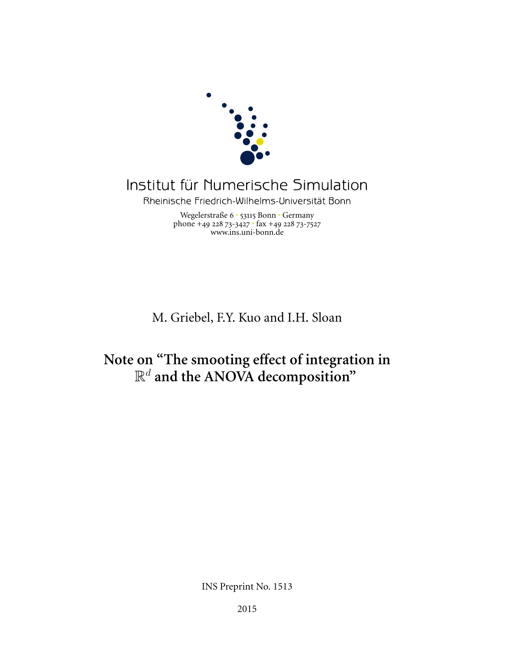

# Institut für Numerische Simulation

Rheinische Friedrich-Wilhelms-Universität Bonn

Wegelerstraße 6 · 53115 Bonn · Germany phone +49 228 73-3427  $\cdot$  fax +49 228 73-7527 www.ins.uni-bonn.de

M. Griebel, F.Y. Kuo and I.H. Sloan

## **Note on "The smooting effect of integration in** R<sup>d</sup> **and the ANOVA decomposition"**

INS Preprint No. 1513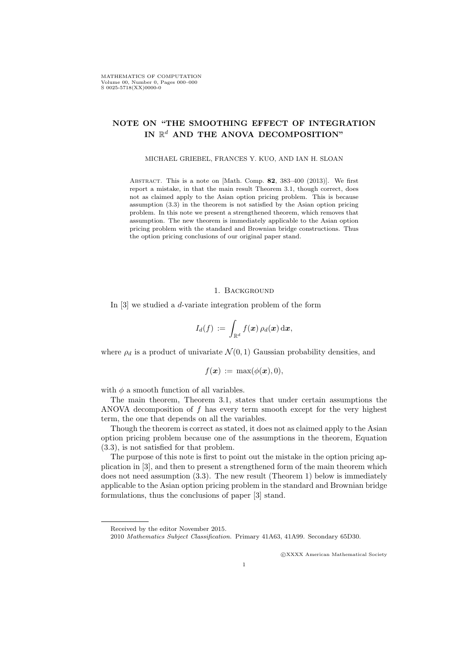### **NOTE ON "THE SMOOTHING EFFECT OF INTEGRATION** IN  $\mathbb{R}^d$  AND THE ANOVA DECOMPOSITION"

#### MICHAEL GRIEBEL, FRANCES Y. KUO, AND IAN H. SLOAN

Abstract. This is a note on [Math. Comp. **82**, 383–400 (2013)]. We first report a mistake, in that the main result Theorem 3.1, though correct, does not as claimed apply to the Asian option pricing problem. This is because assumption (3.3) in the theorem is not satisfied by the Asian option pricing problem. In this note we present a strengthened theorem, which removes that assumption. The new theorem is immediately applicable to the Asian option pricing problem with the standard and Brownian bridge constructions. Thus the option pricing conclusions of our original paper stand.

#### 1. Background

In [3] we studied a *d*-variate integration problem of the form

$$
I_d(f)\,:=\,\int_{\mathbb{R}^d}f(\boldsymbol{x})\,\rho_d(\boldsymbol{x})\,\mathrm{d}\boldsymbol{x},
$$

where  $\rho_d$  is a product of univariate  $\mathcal{N}(0,1)$  Gaussian probability densities, and

$$
f(\boldsymbol{x}) := \max(\phi(\boldsymbol{x}), 0),
$$

with *ϕ* a smooth function of all variables.

The main theorem, Theorem 3.1, states that under certain assumptions the ANOVA decomposition of *f* has every term smooth except for the very highest term, the one that depends on all the variables.

Though the theorem is correct as stated, it does not as claimed apply to the Asian option pricing problem because one of the assumptions in the theorem, Equation (3.3), is not satisfied for that problem.

The purpose of this note is first to point out the mistake in the option pricing application in [3], and then to present a strengthened form of the main theorem which does not need assumption  $(3.3)$ . The new result (Theorem 1) below is immediately applicable to the Asian option pricing problem in the standard and Brownian bridge formulations, thus the conclusions of paper [3] stand.

*⃝*c XXXX American Mathematical Society

Received by the editor November 2015.

<sup>2010</sup> *Mathematics Subject Classification.* Primary 41A63, 41A99. Secondary 65D30.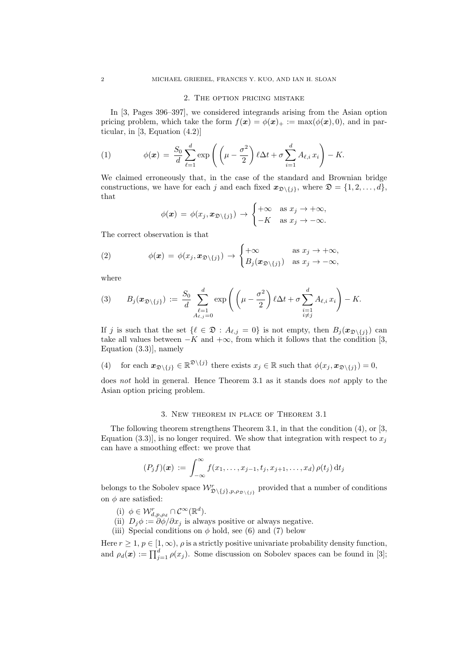#### 2. The option pricing mistake

In [3, Pages 396–397], we considered integrands arising from the Asian option pricing problem, which take the form  $f(x) = \phi(x)_+ := \max(\phi(x), 0)$ , and in particular, in [3, Equation (4.2)]

(1) 
$$
\phi(\boldsymbol{x}) = \frac{S_0}{d} \sum_{\ell=1}^d \exp\left(\left(\mu - \frac{\sigma^2}{2}\right) \ell \Delta t + \sigma \sum_{i=1}^d A_{\ell,i} x_i\right) - K.
$$

We claimed erroneously that, in the case of the standard and Brownian bridge constructions, we have for each *j* and each fixed  $\mathbf{x}_{\mathcal{D}\setminus\{i\}}$ , where  $\mathcal{D} = \{1, 2, \ldots, d\}$ , that

$$
\phi(\boldsymbol{x}) = \phi(x_j, \boldsymbol{x}_{\mathfrak{D}\setminus\{j\}}) \rightarrow \begin{cases} +\infty & \text{as } x_j \rightarrow +\infty, \\ -K & \text{as } x_j \rightarrow -\infty. \end{cases}
$$

The correct observation is that

(2) 
$$
\phi(\boldsymbol{x}) = \phi(x_j, \boldsymbol{x}_{\mathfrak{D}\setminus\{j\}}) \rightarrow \begin{cases} +\infty & \text{as } x_j \rightarrow +\infty, \\ B_j(\boldsymbol{x}_{\mathfrak{D}\setminus\{j\}}) & \text{as } x_j \rightarrow -\infty, \end{cases}
$$

where

$$
(3) \qquad B_j(\boldsymbol{x}_{\mathfrak{D}\setminus\{j\}}):=\frac{S_0}{d}\sum_{\substack{\ell=1\\A_{\ell,j}=0}}^d\exp\left(\left(\mu-\frac{\sigma^2}{2}\right)\ell\Delta t+\sigma\sum_{\substack{i=1\\i\neq j}}^d A_{\ell,i}x_i\right)-K.
$$

If *j* is such that the set  $\{\ell \in \mathfrak{D} : A_{\ell,j} = 0\}$  is not empty, then  $B_j(\mathbf{x}_{\mathfrak{D}\setminus\{j\}})$  can take all values between  $-K$  and  $+\infty$ , from which it follows that the condition [3, Equation (3.3)], namely

(4) for each 
$$
\mathbf{x}_{\mathfrak{D}\setminus\{j\}} \in \mathbb{R}^{\mathfrak{D}\setminus\{j\}}
$$
 there exists  $x_j \in \mathbb{R}$  such that  $\phi(x_j, \mathbf{x}_{\mathfrak{D}\setminus\{j\}}) = 0$ ,

does *not* hold in general. Hence Theorem 3.1 as it stands does *not* apply to the Asian option pricing problem.

#### 3. New theorem in place of Theorem 3.1

The following theorem strengthens Theorem 3.1, in that the condition (4), or [3, Equation (3.3)], is no longer required. We show that integration with respect to  $x_j$ can have a smoothing effect: we prove that

$$
(P_j f)(\boldsymbol{x}) := \int_{-\infty}^{\infty} f(x_1,\ldots,x_{j-1},t_j,x_{j+1},\ldots,x_d) \rho(t_j) dt_j
$$

belongs to the Sobolev space  $\mathcal{W}_{\mathcal{D}\setminus\{j\},p,\rho_{\mathcal{D}\setminus\{j\}}}^r$  provided that a number of conditions on  $\phi$  are satisfied:

- (i)  $\phi \in \mathcal{W}_{d,p,\rho_d}^r \cap \mathcal{C}^{\infty}(\mathbb{R}^d)$ .
- (ii)  $D_j \phi := \partial \phi / \partial x_j$  is always positive or always negative.
- (iii) Special conditions on  $\phi$  hold, see (6) and (7) below

Here  $r \geq 1$ ,  $p \in [1,\infty)$ ,  $\rho$  is a strictly positive univariate probability density function, and  $\rho_d(\boldsymbol{x}) := \prod_{j=1}^d \rho(x_j)$ . Some discussion on Sobolev spaces can be found in [3];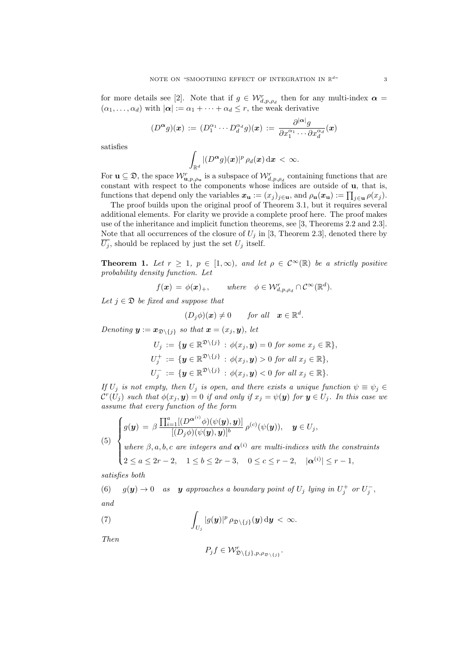for more details see [2]. Note that if  $g \in \mathcal{W}_{d,p,\rho_d}^r$  then for any multi-index  $\alpha =$  $(\alpha_1, \ldots, \alpha_d)$  with  $|\alpha| := \alpha_1 + \cdots + \alpha_d \leq r$ , the weak derivative

$$
(D^{\alpha}g)(\boldsymbol{x}) := (D_1^{\alpha_1} \cdots D_d^{\alpha_d}g)(\boldsymbol{x}) := \frac{\partial^{|\boldsymbol{\alpha}|}g}{\partial x_1^{\alpha_1} \cdots \partial x_d^{\alpha_d}}(\boldsymbol{x})
$$

satisfies

$$
\int_{\mathbb{R}^d} |(D^{\boldsymbol{\alpha}}g)(\boldsymbol{x})|^p\,\rho_d(\boldsymbol{x})\,\mathrm{d}\boldsymbol{x}\,<\,\infty.
$$

For  $\mathbf{u} \subseteq \mathfrak{D}$ , the space  $\mathcal{W}_{\mathbf{u},p,\rho_{\mathbf{u}}}^r$  is a subspace of  $\mathcal{W}_{d,p,\rho_d}^r$  containing functions that are constant with respect to the components whose indices are outside of **u**, that is, functions that depend only the variables  $x_{\mathbf{u}} := (x_j)_{j \in \mathbf{u}}$ , and  $\rho_{\mathbf{u}}(x_{\mathbf{u}}) := \prod_{j \in \mathbf{u}} \rho(x_j)$ .

The proof builds upon the original proof of Theorem 3.1, but it requires several additional elements. For clarity we provide a complete proof here. The proof makes use of the inheritance and implicit function theorems, see [3, Theorems 2.2 and 2.3]. Note that all occurrences of the closure of  $U_j$  in [3, Theorem 2.3], denoted there by  $\overline{U_j}$ , should be replaced by just the set  $U_j$  itself.

**Theorem 1.** Let  $r \geq 1$ ,  $p \in [1,\infty)$ , and let  $\rho \in C^{\infty}(\mathbb{R})$  be a strictly positive *probability density function. Let*

$$
f(\mathbf{x}) = \phi(\mathbf{x})_+, \quad \text{where} \quad \phi \in \mathcal{W}_{d,p,\rho_d}^r \cap \mathcal{C}^\infty(\mathbb{R}^d).
$$

*Let*  $j \in \mathcal{D}$  *be fixed and suppose that* 

$$
(D_j \phi)(\mathbf{x}) \neq 0 \quad \text{for all} \quad \mathbf{x} \in \mathbb{R}^d.
$$

*Denoting*  $y := x_{\mathfrak{D} \setminus \{j\}}$  *so that*  $x = (x_j, y)$ *, let* 

$$
U_j := \{ \mathbf{y} \in \mathbb{R}^{\mathfrak{D} \setminus \{j\}} : \phi(x_j, \mathbf{y}) = 0 \text{ for some } x_j \in \mathbb{R} \},
$$
  
\n
$$
U_j^+ := \{ \mathbf{y} \in \mathbb{R}^{\mathfrak{D} \setminus \{j\}} : \phi(x_j, \mathbf{y}) > 0 \text{ for all } x_j \in \mathbb{R} \},
$$
  
\n
$$
U_j^- := \{ \mathbf{y} \in \mathbb{R}^{\mathfrak{D} \setminus \{j\}} : \phi(x_j, \mathbf{y}) < 0 \text{ for all } x_j \in \mathbb{R} \}.
$$

*If*  $U_j$  *is not empty, then*  $U_j$  *is open, and there exists a unique function*  $\psi \equiv \psi_j \in$  $\mathcal{C}^r(U_j)$  such that  $\phi(x_j, y) = 0$  if and only if  $x_j = \psi(y)$  for  $y \in U_j$ . In this case we *assume that every function of the form*

(5) 
$$
\begin{cases} g(\mathbf{y}) = \beta \frac{\prod_{i=1}^{a} [(D^{\alpha^{(i)}} \phi)(\psi(\mathbf{y}), \mathbf{y})]}{[(D_j \phi)(\psi(\mathbf{y}), \mathbf{y})]^b} \rho^{(c)}(\psi(\mathbf{y})), \quad \mathbf{y} \in U_j, \\ \text{where } \beta, a, b, c \text{ are integers and } \alpha^{(i)} \text{ are multi-indices with the constraints} \\ 2 \le a \le 2r - 2, \quad 1 \le b \le 2r - 3, \quad 0 \le c \le r - 2, \quad |\alpha^{(i)}| \le r - 1, \end{cases}
$$

*satisfies both*

(6)  $g(y) \to 0$  as **y** approaches a boundary point of  $U_j$  lying in  $U_j^+$  or  $U_j^-$ , *and*

(7) 
$$
\int_{U_j} |g(\boldsymbol{y})|^p \, \rho_{\mathfrak{D}\setminus\{j\}}(\boldsymbol{y}) \, \mathrm{d}\boldsymbol{y} < \infty.
$$

*Then*

$$
P_j f \in \mathcal{W}^r_{\mathfrak{D}\setminus\{j\},p,\rho_{\mathfrak{D}\setminus\{j\}}}.
$$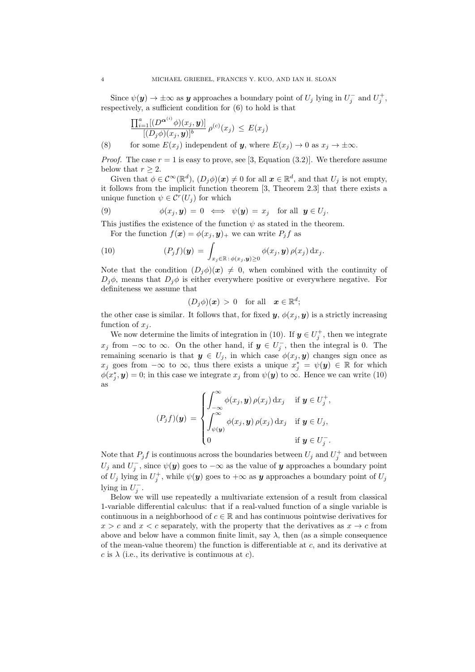Since  $\psi(\mathbf{y}) \to \pm \infty$  as **y** approaches a boundary point of  $U_j$  lying in  $U_j^-$  and  $U_j^+$ , respectively, a sufficient condition for (6) to hold is that

$$
\frac{\prod_{i=1}^{a}[(D^{\alpha^{(i)}}\phi)(x_j, y)]}{[(D_j\phi)(x_j, y)]^b} \rho^{(c)}(x_j) \le E(x_j)
$$

(8) for some  $E(x_i)$  independent of *y*, where  $E(x_i) \to 0$  as  $x_i \to \pm \infty$ .

*Proof.* The case  $r = 1$  is easy to prove, see [3, Equation (3.2)]. We therefore assume below that  $r \geq 2$ .

Given that  $\phi \in C^{\infty}(\mathbb{R}^d)$ ,  $(D_j \phi)(x) \neq 0$  for all  $x \in \mathbb{R}^d$ , and that  $U_j$  is not empty, it follows from the implicit function theorem [3, Theorem 2.3] that there exists a unique function  $\psi \in \mathcal{C}^r(U_j)$  for which

(9) 
$$
\phi(x_j, \mathbf{y}) = 0 \iff \psi(\mathbf{y}) = x_j \text{ for all } \mathbf{y} \in U_j.
$$

This justifies the existence of the function  $\psi$  as stated in the theorem.

For the function  $f(\mathbf{x}) = \phi(x_j, \mathbf{y})_+$  we can write  $P_j f$  as

(10) 
$$
(P_j f)(\mathbf{y}) = \int_{x_j \in \mathbb{R} \,:\, \phi(x_j, \mathbf{y}) \geq 0} \phi(x_j, \mathbf{y}) \rho(x_j) \,dx_j.
$$

Note that the condition  $(D_i \phi)(x) \neq 0$ , when combined with the continuity of  $D_i\phi$ , means that  $D_i\phi$  is either everywhere positive or everywhere negative. For definiteness we assume that

$$
(D_j \phi)(\boldsymbol{x}) \,>\, 0 \quad \text{for all} \quad \boldsymbol{x} \in \mathbb{R}^d;
$$

the other case is similar. It follows that, for fixed  $y$ ,  $\phi(x_j, y)$  is a strictly increasing function of  $x_j$ .

We now determine the limits of integration in (10). If  $y \in U_j^+$ , then we integrate *x*<sup>*j*</sup> from  $-\infty$  to  $\infty$ . On the other hand, if  $y \in U_j^-$ , then the integral is 0. The remaining scenario is that  $y \in U_j$ , in which case  $\phi(x_j, y)$  changes sign once as *x*<sub>*j*</sub> goes from  $-\infty$  to  $\infty$ , thus there exists a unique  $x_j^* = \psi(\mathbf{y}) \in \mathbb{R}$  for which  $\phi(x_j^*, y) = 0$ ; in this case we integrate  $x_j$  from  $\psi(y)$  to  $\infty$ . Hence we can write (10) as

$$
(P_j f)(\mathbf{y}) = \begin{cases} \int_{-\infty}^{\infty} \phi(x_j, \mathbf{y}) \rho(x_j) dx_j & \text{if } \mathbf{y} \in U_j^+, \\ \int_{\psi(\mathbf{y})}^{\infty} \phi(x_j, \mathbf{y}) \rho(x_j) dx_j & \text{if } \mathbf{y} \in U_j, \\ 0 & \text{if } \mathbf{y} \in U_j^-. \end{cases}
$$

Note that  $P_j f$  is continuous across the boundaries between  $U_j$  and  $U_j^+$  and between  $U_j$  and  $U_j^{\dagger}$ , since  $\psi(\mathbf{y})$  goes to  $-\infty$  as the value of *y* approaches a boundary point of  $U_j$  lying in  $U_j^+$ , while  $\psi(\mathbf{y})$  goes to  $+\infty$  as  $\mathbf{y}$  approaches a boundary point of  $U_j$ lying in  $U_j^-$ .

Below we will use repeatedly a multivariate extension of a result from classical 1-variable differential calculus: that if a real-valued function of a single variable is continuous in a neighborhood of  $c \in \mathbb{R}$  and has continuous pointwise derivatives for  $x > c$  and  $x < c$  separately, with the property that the derivatives as  $x \to c$  from above and below have a common finite limit, say  $\lambda$ , then (as a simple consequence of the mean-value theorem) the function is differentiable at *c*, and its derivative at  $c$  is  $\lambda$  (i.e., its derivative is continuous at  $c$ ).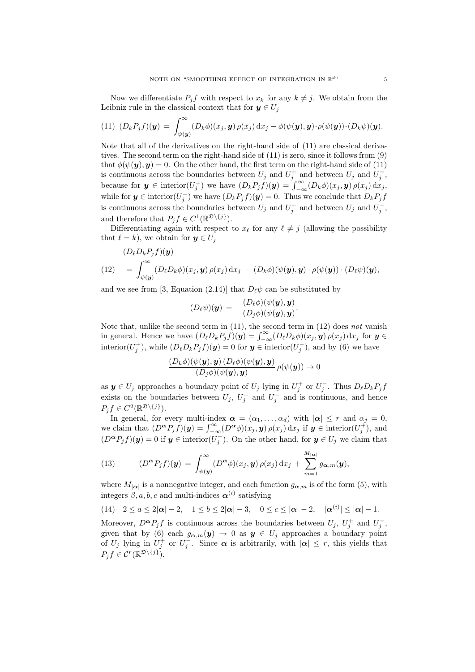Now we differentiate  $P_j f$  with respect to  $x_k$  for any  $k \neq j$ . We obtain from the Leibniz rule in the classical context that for  $y \in U_j$ 

(11) 
$$
(D_k P_j f)(\mathbf{y}) = \int_{\psi(\mathbf{y})}^{\infty} (D_k \phi)(x_j, \mathbf{y}) \rho(x_j) dx_j - \phi(\psi(\mathbf{y}), \mathbf{y}) \cdot \rho(\psi(\mathbf{y})) \cdot (D_k \psi)(\mathbf{y}).
$$

Note that all of the derivatives on the right-hand side of (11) are classical derivatives. The second term on the right-hand side of (11) is zero, since it follows from (9) that  $\phi(\psi(\mathbf{y}), \mathbf{y}) = 0$ . On the other hand, the first term on the right-hand side of (11) is continuous across the boundaries between  $U_j$  and  $U_j^+$  and between  $U_j$  and  $U_j^-$ , because for  $y \in \text{interior}(U_j^+)$  we have  $(D_k P_j f)(y) = \int_{-\infty}^{\infty} (D_k \phi)(x_j, y) \rho(x_j) dx_j$ while for  $y \in \text{interior}(U_j^-)$  we have  $(D_k P_j f)(y) = 0$ . Thus we conclude that  $D_k P_j f$ is continuous across the boundaries between  $U_j$  and  $U_j^+$  and between  $U_j$  and  $U_j^-$ , and therefore that  $P_j f \in C^1(\mathbb{R}^{\mathfrak{D}\setminus\{j\}})$ .

Differentiating again with respect to  $x_{\ell}$  for any  $\ell \neq j$  (allowing the possibility that  $\ell = k$ , we obtain for  $y \in U_j$ 

(12) 
$$
(D_{\ell}D_{k}P_{j}f)(\mathbf{y}) = \int_{\psi(\mathbf{y})}^{\infty} (D_{\ell}D_{k}\phi)(x_{j}, \mathbf{y}) \rho(x_{j}) dx_{j} - (D_{k}\phi)(\psi(\mathbf{y}), \mathbf{y}) \cdot \rho(\psi(\mathbf{y})) \cdot (D_{\ell}\psi)(\mathbf{y}),
$$

and we see from [3, Equation (2.14)] that  $D_{\ell}\psi$  can be substituted by

$$
(D_{\ell}\psi)(\mathbf{y})\,=\,-\frac{(D_{\ell}\phi)(\psi(\mathbf{y}),\mathbf{y})}{(D_{j}\phi)(\psi(\mathbf{y}),\mathbf{y})}.
$$

Note that, unlike the second term in (11), the second term in (12) does *not* vanish in general. Hence we have  $(D_{\ell}D_kP_jf)(y) = \int_{-\infty}^{\infty} (D_{\ell}D_k\phi)(x_j, y) \rho(x_j) dx_j$  for  $y \in$ interior( $U_j^+$ ), while  $(D_\ell D_k P_j f)(y) = 0$  for  $y \in \text{interior}(U_j^-)$ , and by (6) we have

$$
\frac{(D_k \phi)(\psi(\boldsymbol{y}), \boldsymbol{y}) (D_\ell \phi)(\psi(\boldsymbol{y}), \boldsymbol{y})}{(D_j \phi)(\psi(\boldsymbol{y}), \boldsymbol{y})} \rho(\psi(\boldsymbol{y})) \to 0
$$

as  $y \in U_j$  approaches a boundary point of  $U_j$  lying in  $U_j^+$  or  $U_j^-$ . Thus  $D_\ell D_k P_j f$ exists on the boundaries between  $U_j$ ,  $U_j^+$  and  $U_j^-$  and is continuous, and hence  $P_j f \in C^2(\mathbb{R}^{\mathfrak{D}\setminus\{j\}}).$ 

In general, for every multi-index  $\alpha = (\alpha_1, \dots, \alpha_d)$  with  $|\alpha| \leq r$  and  $\alpha_j = 0$ , we claim that  $(D^{\alpha}P_j f)(y) = \int_{-\infty}^{\infty} (D^{\alpha} \phi)(x_j, y) \rho(x_j) dx_j$  if  $y \in \text{interior}(U_j^+)$ , and  $(D^{\alpha}P_j f)(y) = 0$  if  $y \in \text{interior}(U_j^-)$ . On the other hand, for  $y \in U_j$  we claim that

(13) 
$$
(D^{\alpha} P_j f)(\mathbf{y}) = \int_{\psi(\mathbf{y})}^{\infty} (D^{\alpha} \phi)(x_j, \mathbf{y}) \rho(x_j) dx_j + \sum_{m=1}^{M_{|\alpha|}} g_{\alpha,m}(\mathbf{y}),
$$

where  $M_{|\alpha|}$  is a nonnegative integer, and each function  $g_{\alpha,m}$  is of the form (5), with integers  $\beta$ , a, b, c and multi-indices  $\alpha^{(i)}$  satisfying

(14) 
$$
2 \le a \le 2|\alpha|-2
$$
,  $1 \le b \le 2|\alpha|-3$ ,  $0 \le c \le |\alpha|-2$ ,  $|\alpha^{(i)}| \le |\alpha|-1$ .

Moreover,  $D^{\alpha}P_j f$  is continuous across the boundaries between  $U_j$ ,  $U_j^+$  and  $U_j^-$ , given that by (6) each  $g_{\alpha,m}(y) \to 0$  as  $y \in U_j$  approaches a boundary point of *U<sub>j</sub>* lying in  $U_j^+$  or  $U_j^-$ . Since  $\alpha$  is arbitrarily, with  $|\alpha| \leq r$ , this yields that  $P_j f \in C^r(\mathbb{R}^{\mathfrak{D}\setminus\{j\}}).$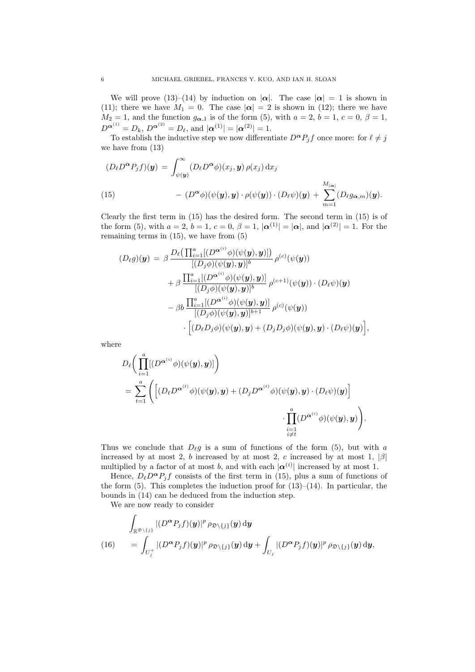We will prove (13)–(14) by induction on  $|\alpha|$ . The case  $|\alpha| = 1$  is shown in (11); there we have  $M_1 = 0$ . The case  $|\alpha| = 2$  is shown in (12); there we have *M*<sub>2</sub> = 1, and the function  $g_{\alpha,1}$  is of the form (5), with  $a = 2, b = 1, c = 0, \beta = 1$ ,  $D^{\alpha^{(1)}} = D_k, D^{\alpha^{(2)}} = D_\ell, \text{ and } |\alpha^{(1)}| = |\alpha^{(2)}| = 1.$ 

To establish the inductive step we now differentiate  $D^{\alpha}P_jf$  once more: for  $\ell \neq j$ we have from (13)

$$
(D_{\ell}D^{\alpha}P_{j}f)(\mathbf{y}) = \int_{\psi(\mathbf{y})}^{\infty} (D_{\ell}D^{\alpha}\phi)(x_{j}, \mathbf{y}) \rho(x_{j}) dx_{j}
$$
  
(15) 
$$
- (D^{\alpha}\phi)(\psi(\mathbf{y}), \mathbf{y}) \cdot \rho(\psi(\mathbf{y})) \cdot (D_{\ell}\psi)(\mathbf{y}) + \sum_{m=1}^{M_{|\alpha|}} (D_{\ell}g_{\alpha,m})(\mathbf{y}).
$$

Clearly the first term in (15) has the desired form. The second term in (15) is of the form (5), with  $a = 2$ ,  $b = 1$ ,  $c = 0$ ,  $\beta = 1$ ,  $|\alpha^{(1)}| = |\alpha|$ , and  $|\alpha^{(2)}| = 1$ . For the remaining terms in (15), we have from (5)

$$
(D_{\ell}g)(\mathbf{y}) = \beta \frac{D_{\ell}(\prod_{i=1}^{a}[(D^{\alpha^{(i)}}\phi)(\psi(\mathbf{y}), \mathbf{y})])}{[(D_{j}\phi)(\psi(\mathbf{y}), \mathbf{y})]^{b}} \rho^{(c)}(\psi(\mathbf{y})) + \beta \frac{\prod_{i=1}^{a}[(D^{\alpha^{(i)}}\phi)(\psi(\mathbf{y}), \mathbf{y})]}{[(D_{j}\phi)(\psi(\mathbf{y}), \mathbf{y})]^{b}} \rho^{(c+1)}(\psi(\mathbf{y})) \cdot (D_{\ell}\psi)(\mathbf{y}) - \beta b \frac{\prod_{i=1}^{a}[(D^{\alpha^{(i)}}\phi)(\psi(\mathbf{y}), \mathbf{y})]}{[(D_{j}\phi)(\psi(\mathbf{y}), \mathbf{y})]^{b+1}} \rho^{(c)}(\psi(\mathbf{y})) - \left[(D_{\ell}D_{j}\phi)(\psi(\mathbf{y}), \mathbf{y}) + (D_{j}D_{j}\phi)(\psi(\mathbf{y}), \mathbf{y}) \cdot (D_{\ell}\psi)(\mathbf{y})\right],
$$

where

$$
D_{\ell}\bigg(\prod_{i=1}^{a}[(D^{\alpha^{(i)}}\phi)(\psi(y), y)]\bigg)
$$
  
= 
$$
\sum_{t=1}^{a} \bigg(\bigg[(D_{\ell}D^{\alpha^{(t)}}\phi)(\psi(y), y) + (D_{j}D^{\alpha^{(t)}}\phi)(\psi(y), y) \cdot (D_{\ell}\psi)(y)\bigg]
$$

$$
\cdot \prod_{\substack{i=1 \ i \neq t}}^{a} (D^{\alpha^{(i)}}\phi)(\psi(y), y)\bigg).
$$

Thus we conclude that  $D_{\ell}g$  is a sum of functions of the form (5), but with *a* increased by at most 2, *b* increased by at most 2, *c* increased by at most 1, *|β|* multiplied by a factor of at most *b*, and with each  $|\alpha^{(i)}|$  increased by at most 1.

Hence,  $D_{\ell}D^{\alpha}P_jf$  consists of the first term in (15), plus a sum of functions of the form  $(5)$ . This completes the induction proof for  $(13)$ – $(14)$ . In particular, the bounds in (14) can be deduced from the induction step.

We are now ready to consider

$$
\int_{\mathbb{R}^{\mathfrak{D}\setminus\{j\}}}|(D^{\alpha}P_jf)(y)|^p \rho_{\mathfrak{D}\setminus\{j\}}(y) \, \mathrm{d}y
$$
\n
$$
(16) \qquad = \int_{U_j^+}|(D^{\alpha}P_jf)(y)|^p \rho_{\mathfrak{D}\setminus\{j\}}(y) \, \mathrm{d}y + \int_{U_j}|(D^{\alpha}P_jf)(y)|^p \rho_{\mathfrak{D}\setminus\{j\}}(y) \, \mathrm{d}y,
$$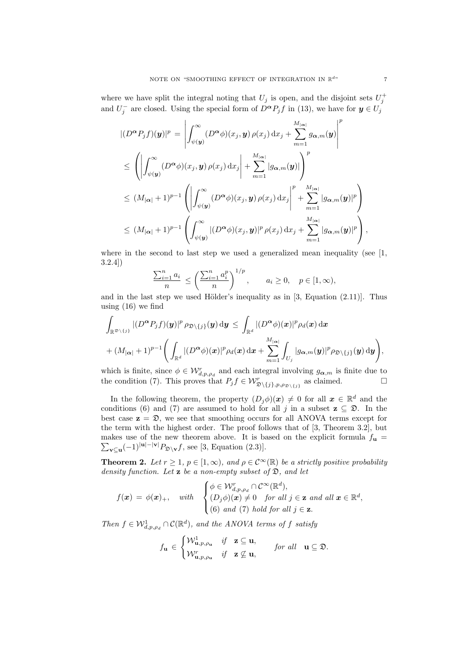where we have split the integral noting that  $U_j$  is open, and the disjoint sets  $U_j^+$ and  $U_j^-$  are closed. Using the special form of  $D^{\alpha}P_j f$  in (13), we have for  $y \in U_j$ 

$$
\begin{split}\n&| (D^{\alpha}P_j f)(\mathbf{y})|^p = \left| \int_{\psi(\mathbf{y})}^{\infty} (D^{\alpha} \phi)(x_j, \mathbf{y}) \rho(x_j) dx_j + \sum_{m=1}^{M_{|\alpha|}} g_{\alpha,m}(\mathbf{y}) \right|^p \\
&\leq \left( \left| \int_{\psi(\mathbf{y})}^{\infty} (D^{\alpha} \phi)(x_j, \mathbf{y}) \rho(x_j) dx_j \right| + \sum_{m=1}^{M_{|\alpha|}} |g_{\alpha,m}(\mathbf{y})| \right)^p \\
&\leq (M_{|\alpha|} + 1)^{p-1} \left( \left| \int_{\psi(\mathbf{y})}^{\infty} (D^{\alpha} \phi)(x_j, \mathbf{y}) \rho(x_j) dx_j \right|^p + \sum_{m=1}^{M_{|\alpha|}} |g_{\alpha,m}(\mathbf{y})|^p \right)^p \\
&\leq (M_{|\alpha|} + 1)^{p-1} \left( \int_{\psi(\mathbf{y})}^{\infty} |(D^{\alpha} \phi)(x_j, \mathbf{y})|^p \rho(x_j) dx_j + \sum_{m=1}^{M_{|\alpha|}} |g_{\alpha,m}(\mathbf{y})|^p \right),\n\end{split}
$$

where in the second to last step we used a generalized mean inequality (see  $[1,$ 3.2.4])

$$
\frac{\sum_{i=1}^{n} a_i}{n} \le \left(\frac{\sum_{i=1}^{n} a_i^p}{n}\right)^{1/p}, \qquad a_i \ge 0, \quad p \in [1, \infty),
$$

and in the last step we used Hölder's inequality as in  $[3,$  Equation  $(2.11)$ ]. Thus using (16) we find

$$
\int_{\mathbb{R}^{\mathfrak{D}\setminus\{j\}}}|(D^{\boldsymbol{\alpha}}P_jf)(\boldsymbol{y})|^p \,\rho_{\mathfrak{D}\setminus\{j\}}(\boldsymbol{y})\,\mathrm{d}\boldsymbol{y} \leq \int_{\mathbb{R}^d}|(D^{\boldsymbol{\alpha}}\phi)(\boldsymbol{x})|^p\rho_d(\boldsymbol{x})\,\mathrm{d}\boldsymbol{x} + (M_{|\boldsymbol{\alpha}|}+1)^{p-1}\Bigg(\int_{\mathbb{R}^d}|(D^{\boldsymbol{\alpha}}\phi)(\boldsymbol{x})|^p\rho_d(\boldsymbol{x})\,\mathrm{d}\boldsymbol{x} + \sum_{m=1}^{M_{|\boldsymbol{\alpha}|}}\int_{U_j}|g_{\boldsymbol{\alpha},m}(\boldsymbol{y})|^p\rho_{\mathfrak{D}\setminus\{j\}}(\boldsymbol{y})\,\mathrm{d}\boldsymbol{y}\Bigg),
$$

which is finite, since  $\phi \in \mathcal{W}_{d,p,\rho_d}^r$  and each integral involving  $g_{\alpha,m}$  is finite due to the condition (7). This proves that  $P_j f \in \mathcal{W}^r_{\mathfrak{D}\setminus\{j\},p,\rho_{\mathfrak{D}\setminus\{j\}}}$  as claimed.

In the following theorem, the property  $(D_j \phi)(x) \neq 0$  for all  $x \in \mathbb{R}^d$  and the conditions (6) and (7) are assumed to hold for all *j* in a subset  $z \subseteq \mathfrak{D}$ . In the best case  $z = \mathcal{D}$ , we see that smoothing occurs for all ANOVA terms except for the term with the highest order. The proof follows that of [3, Theorem 3.2], but ∑ makes use of the new theorem above. It is based on the explicit formula  $f_{\mathbf{u}} =$ **v***⊆***u** (*−*1)*<sup>|</sup>***u***|−|***v***<sup>|</sup>P*<sup>D</sup>*\***<sup>v</sup>***f*, see [3, Equation (2.3)].

**Theorem 2.** *Let*  $r \geq 1$ *,*  $p \in [1, \infty)$ *, and*  $\rho \in C^{\infty}(\mathbb{R})$  *be a strictly positive probability density function. Let* **z** *be a non-empty subset of* D*, and let*

$$
f(\boldsymbol{x}) = \phi(\boldsymbol{x})_+, \quad \text{with} \quad \begin{cases} \phi \in \mathcal{W}_{d,p,\rho_d}^r \cap \mathcal{C}^{\infty}(\mathbb{R}^d), \\ (D_j \phi)(\boldsymbol{x}) \neq 0 \quad \text{for all } j \in \mathbf{z} \text{ and all } \boldsymbol{x} \in \mathbb{R}^d, \\ (6) \text{ and } (7) \text{ hold for all } j \in \mathbf{z}. \end{cases}
$$

*Then*  $f \in W_{d,p,\rho_d}^1 \cap C(\mathbb{R}^d)$ *, and the ANOVA terms of*  $f$  *satisfy* 

$$
f_{\mathbf{u}} \in \begin{cases} \mathcal{W}_{\mathbf{u},p,\rho_{\mathbf{u}}}^1 & \text{if } \mathbf{z} \subseteq \mathbf{u}, \\ \mathcal{W}_{\mathbf{u},p,\rho_{\mathbf{u}}}^r & \text{if } \mathbf{z} \not\subseteq \mathbf{u}, \end{cases} \quad \text{for all } \mathbf{u} \subseteq \mathfrak{D}.
$$